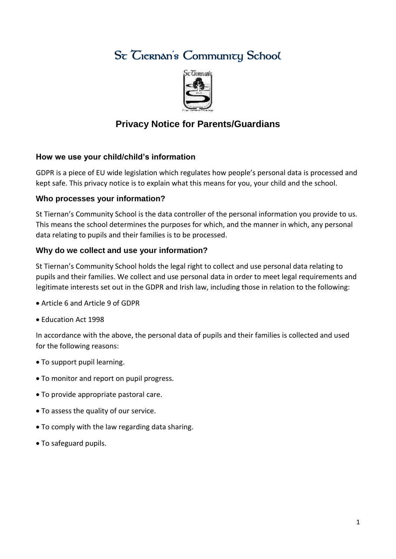# St Ciernan's Community School



## **Privacy Notice for Parents/Guardians**

#### **How we use your child/child's information**

GDPR is a piece of EU wide legislation which regulates how people's personal data is processed and kept safe. This privacy notice is to explain what this means for you, your child and the school.

#### **Who processes your information?**

St Tiernan's Community School is the data controller of the personal information you provide to us. This means the school determines the purposes for which, and the manner in which, any personal data relating to pupils and their families is to be processed.

#### **Why do we collect and use your information?**

St Tiernan's Community School holds the legal right to collect and use personal data relating to pupils and their families. We collect and use personal data in order to meet legal requirements and legitimate interests set out in the GDPR and Irish law, including those in relation to the following:

- Article 6 and Article 9 of GDPR
- Education Act 1998

In accordance with the above, the personal data of pupils and their families is collected and used for the following reasons:

- To support pupil learning.
- To monitor and report on pupil progress.
- To provide appropriate pastoral care.
- To assess the quality of our service.
- To comply with the law regarding data sharing.
- To safeguard pupils.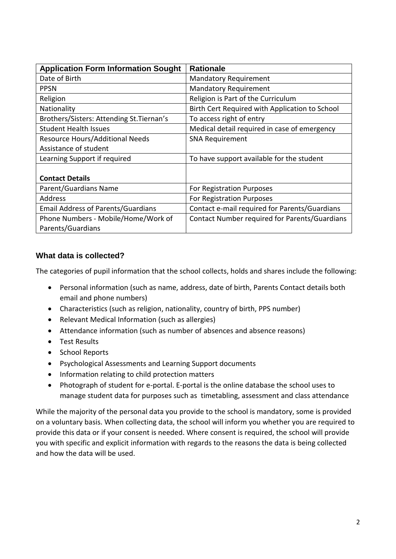| <b>Application Form Information Sought</b> | <b>Rationale</b>                               |
|--------------------------------------------|------------------------------------------------|
| Date of Birth                              | <b>Mandatory Requirement</b>                   |
| <b>PPSN</b>                                | <b>Mandatory Requirement</b>                   |
| Religion                                   | Religion is Part of the Curriculum             |
| Nationality                                | Birth Cert Required with Application to School |
| Brothers/Sisters: Attending St. Tiernan's  | To access right of entry                       |
| <b>Student Health Issues</b>               | Medical detail required in case of emergency   |
| Resource Hours/Additional Needs            | <b>SNA Requirement</b>                         |
| Assistance of student                      |                                                |
| Learning Support if required               | To have support available for the student      |
|                                            |                                                |
| <b>Contact Details</b>                     |                                                |
| Parent/Guardians Name                      | For Registration Purposes                      |
| <b>Address</b>                             | For Registration Purposes                      |
| <b>Email Address of Parents/Guardians</b>  | Contact e-mail required for Parents/Guardians  |
| Phone Numbers - Mobile/Home/Work of        | Contact Number required for Parents/Guardians  |
| Parents/Guardians                          |                                                |

### **What data is collected?**

The categories of pupil information that the school collects, holds and shares include the following:

- Personal information (such as name, address, date of birth, Parents Contact details both email and phone numbers)
- Characteristics (such as religion, nationality, country of birth, PPS number)
- Relevant Medical Information (such as allergies)
- Attendance information (such as number of absences and absence reasons)
- **•** Test Results
- School Reports
- Psychological Assessments and Learning Support documents
- Information relating to child protection matters
- Photograph of student for e-portal. E-portal is the online database the school uses to manage student data for purposes such as timetabling, assessment and class attendance

While the majority of the personal data you provide to the school is mandatory, some is provided on a voluntary basis. When collecting data, the school will inform you whether you are required to provide this data or if your consent is needed. Where consent is required, the school will provide you with specific and explicit information with regards to the reasons the data is being collected and how the data will be used.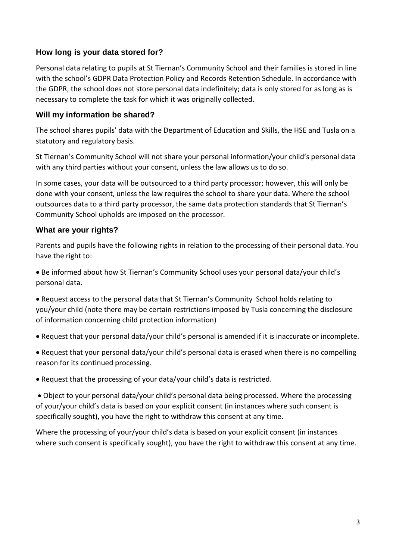#### **How long is your data stored for?**

Personal data relating to pupils at St Tiernan's Community School and their families is stored in line with the school's GDPR Data Protection Policy and Records Retention Schedule. In accordance with the GDPR, the school does not store personal data indefinitely; data is only stored for as long as is necessary to complete the task for which it was originally collected.

#### **Will my information be shared?**

The school shares pupils' data with the Department of Education and Skills, the HSE and Tusla on a statutory and regulatory basis.

St Tiernan's Community School will not share your personal information/your child's personal data with any third parties without your consent, unless the law allows us to do so.

In some cases, your data will be outsourced to a third party processor; however, this will only be done with your consent, unless the law requires the school to share your data. Where the school outsources data to a third party processor, the same data protection standards that St Tiernan's Community School upholds are imposed on the processor.

#### **What are your rights?**

Parents and pupils have the following rights in relation to the processing of their personal data. You have the right to:

 Be informed about how St Tiernan's Community School uses your personal data/your child's personal data.

 Request access to the personal data that St Tiernan's Community School holds relating to you/your child (note there may be certain restrictions imposed by Tusla concerning the disclosure of information concerning child protection information)

Request that your personal data/your child's personal is amended if it is inaccurate or incomplete.

 Request that your personal data/your child's personal data is erased when there is no compelling reason for its continued processing.

Request that the processing of your data/your child's data is restricted.

 Object to your personal data/your child's personal data being processed. Where the processing of your/your child's data is based on your explicit consent (in instances where such consent is specifically sought), you have the right to withdraw this consent at any time.

Where the processing of your/your child's data is based on your explicit consent (in instances where such consent is specifically sought), you have the right to withdraw this consent at any time.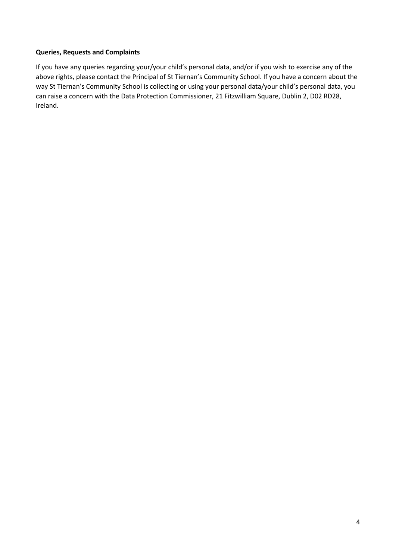#### **Queries, Requests and Complaints**

If you have any queries regarding your/your child's personal data, and/or if you wish to exercise any of the above rights, please contact the Principal of St Tiernan's Community School. If you have a concern about the way St Tiernan's Community School is collecting or using your personal data/your child's personal data, you can raise a concern with the Data Protection Commissioner, 21 Fitzwilliam Square, Dublin 2, D02 RD28, Ireland.